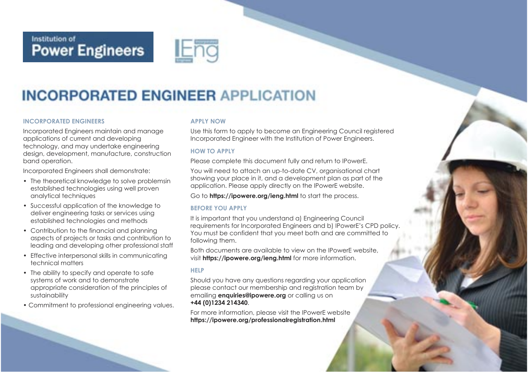# Institution of<br>**Power Engineers**



## **INCORPORATED ENGINEER APPLICATION**

### **INCORPORATED ENGINEERS**

Incorporated Engineers maintain and manage applications of current and developing technology, and may undertake engineering design, development, manufacture, construction band operation.

Incorporated Engineers shall demonstrate:

- The theoretical knowledge to solve problemsin established technologies using well proven analytical techniques
- Successful application of the knowledge to deliver engineering tasks or services using established technologies and methods
- Contribution to the financial and planning aspects of projects or tasks and contribution to leading and developing other professional staff
- Effective interpersonal skills in communicating technical matters
- The ability to specify and operate to safe systems of work and to demonstrate appropriate consideration of the principles of sustainability
- Commitment to professional engineering values.

### **APPLY NOW**

Use this form to apply to become an Engineering Council registered Incorporated Engineer with the Institution of Power Engineers.

### **HOW TO APPLY**

Please complete this document fully and return to IPowerE.

You will need to attach an up-to-date CV, organisational chart showing your place in it, and a development plan as part of the application. Please apply directly on the IPowerE website.

Go to **https://ipowere.org/ieng.html** to start the process.

### **BEFORE YOU APPLY**

It is important that you understand a) Engineering Council requirements for Incorporated Engineers and b) IPowerE's CPD policy. You must be confident that you meet both and are committed to following them.

Both documents are available to view on the IPowerE website, visit **https://ipowere.org/ieng.html** for more information.

### **HELP**

Should you have any questions regarding your application please contact our membership and registration team by emailing **enquiries@ipowere.org** or calling us on **+44 (0)1234 214340**.

For more information, please visit the IPowerE website **https://ipowere.org/professionalregistration.html**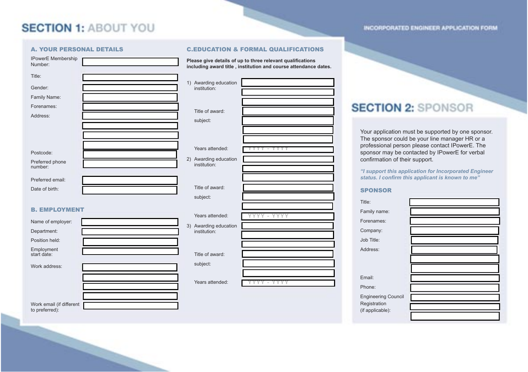### **SECTION 1: ABOUT YOU**

| <b>IPowerE</b> Membership<br>Number: | Please give details of up to three relevant qu<br>including award title, institution and course |           |
|--------------------------------------|-------------------------------------------------------------------------------------------------|-----------|
| Title:                               |                                                                                                 |           |
| Gender:                              | 1) Awarding education<br>institution:                                                           |           |
| Family Name:                         |                                                                                                 |           |
| Forenames:                           |                                                                                                 |           |
| Address:                             | Title of award:                                                                                 |           |
|                                      | subject:                                                                                        |           |
|                                      |                                                                                                 |           |
|                                      |                                                                                                 |           |
| Postcode:                            | Years attended:                                                                                 |           |
| Preferred phone<br>number:           | 2) Awarding education<br>institution:                                                           |           |
| Preferred email:                     |                                                                                                 |           |
| Date of birth:                       | Title of award:                                                                                 |           |
|                                      | subject:                                                                                        |           |
| <b>B. EMPLOYMENT</b>                 |                                                                                                 |           |
|                                      | Years attended:                                                                                 | YYYY - YY |
| Name of employer:                    | 3) Awarding education                                                                           |           |
| Department:                          | institution:                                                                                    |           |
| Position held:                       |                                                                                                 |           |
| Employment<br>start date:            | Title of award:                                                                                 |           |
| Work address:                        | subject:                                                                                        |           |
|                                      |                                                                                                 |           |
|                                      | Years attended:                                                                                 |           |

### A. YOUR PERSONAL DETAILS C.EDUCATION & FORMAL QUALIFICATIONS

**Please give details of up to three relevant qualifications including award title , institution and course attendance dates.**

### **SECTION 2: SPONSOR**

Your application must be supported by one sponsor. The sponsor could be your line manager HR or a professional person please contact IPowerE. The sponsor may be contacted by IPowerE for verbal confirmation of their support.

INCORPORATED ENGINEER APPLICATION FORM

*"I support this application for Incorporated Engineer status. I confirm this applicant is known to me"*

### SPONSOR

| Title:                     |  |
|----------------------------|--|
| Family name:               |  |
| Forenames:                 |  |
| Company:                   |  |
| Job Title:                 |  |
| Address:                   |  |
|                            |  |
|                            |  |
| Email:                     |  |
| Phone:                     |  |
| <b>Engineering Council</b> |  |
| Registration               |  |
| (if applicable):           |  |
|                            |  |

Work email (if different to preferred):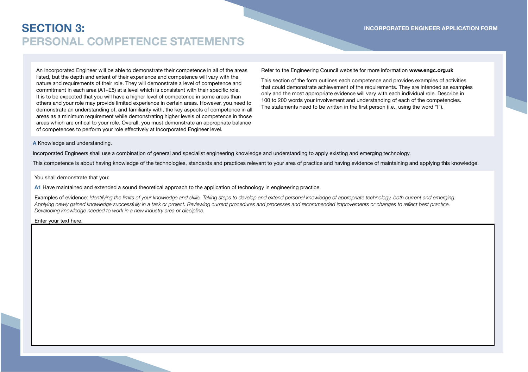An Incorporated Engineer will be able to demonstrate their competence in all of the areas listed, but the depth and extent of their experience and competence will vary with the nature and requirements of their role. They will demonstrate a level of competence and commitment in each area (A1-E5) at a level which is consistent with their specific role. It is to be expected that you will have a higher level of competence in some areas than others and your role may provide limited experience in certain areas. However, you need to demonstrate an understanding of, and familiarity with, the key aspects of competence in all areas as a minimum requirement while demonstrating higher levels of competence in those areas which are critical to your role. Overall, you must demonstrate an appropriate balance of competences to perform your role effectively at Incorporated Engineer level.

**INCORPORATED ENGINEER APPLICATION FORM**

Refer to the Engineering Council website for more information **www.engc.org.uk**

This section of the form outlines each competence and provides examples of activities that could demonstrate achievement of the requirements. They are intended as examples only and the most appropriate evidence will vary with each individual role. Describe in 100 to 200 words your involvement and understanding of each of the competencies. The statements need to be written in the first person (i.e., using the word "I").

#### **A** Knowledge and understanding.

Incorporated Engineers shall use a combination of general and specialist engineering knowledge and understanding to apply existing and emerging technology.

This competence is about having knowledge of the technologies, standards and practices relevant to your area of practice and having evidence of maintaining and applying this knowledge.

You shall demonstrate that you:

**A1** Have maintained and extended a sound theoretical approach to the application of technology in engineering practice.

Examples of evidence: *Identifying the limits of your knowledge and skills. Taking steps to develop and extend personal knowledge of appropriate technology, both current and emerging.*  Applying newly gained knowledge successfully in a task or project. Reviewing current procedures and processes and recommended improvements or changes to reflect best practice.<br>Developing knowledge needed to work in a new i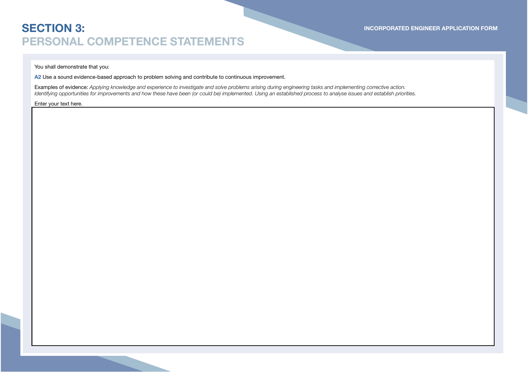You shall demonstrate that you:

**A2** Use a sound evidence-based approach to problem solving and contribute to continuous improvement.

**Examples of evidence:** Applying knowledge and experience to investigate and solve problems arising during engineering tasks and implementing corrective action.<br>Identifying opportunities for improvements and how these have

Enter your text here.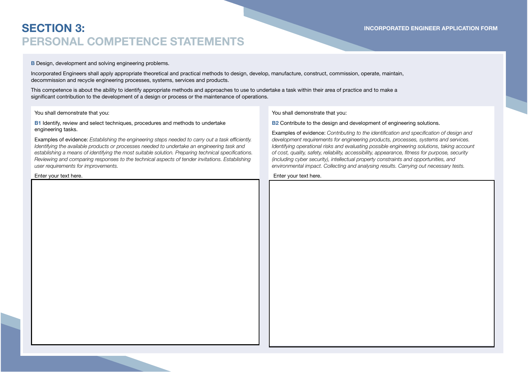### **B** Design, development and solving engineering problems.

Incorporated Engineers shall apply appropriate theoretical and practical methods to design, develop, manufacture, construct, commission, operate, maintain, decommission and recycle engineering processes, systems, services and products.

This competence is about the ability to identify appropriate methods and approaches to use to undertake a task within their area of practice and to make a significant contribution to the development of a design or process or the maintenance of operations.

You shall demonstrate that you:

#### **B1** Identify, review and select techniques, procedures and methods to undertake engineering tasks.

Examples of evidence: Establishing the engineering steps needed to carry out a task efficiently. *ldentifying the available products or processes needed to undertake an engineering task and<br>establishing a means of identifying the most suitable solution. Preparing technical specifications. Reviewing and comparing responses to the technical aspects of tender invitations. Establishing user requirements for improvements.*

Enter your text here.

You shall demonstrate that you:

### **B2** Contribute to the design and development of engineering solutions.

Examples of evidence: Contributing to the identification and specification of design and *development requirements for engineering products, processes, systems and services. Identifying operational risks and evaluating possible engineering solutions, taking account of cost, quality, safety, reliability, accessibility, appearance, fitness for purpose, security*  $\frac{1}{2}$ *(including cyber security), intellectual property constraints and opportunities, and environmental impact. Collecting and analysing results. Carrying out necessary tests.*

**INCORPORATED ENGINEER APPLICATION FORM**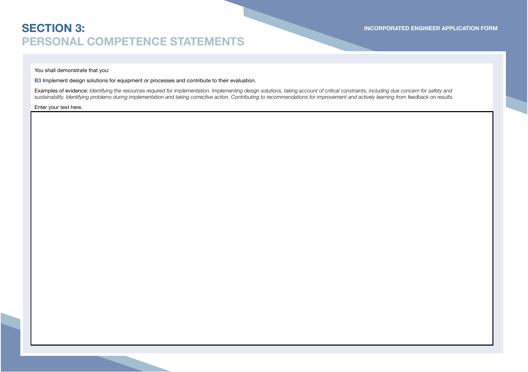### You shall demonstrate that you:

**B3** Implement design solutions for equipment or processes and contribute to their evaluation.

Examples of evidence: *Identifying the resources required for implementation. Implementing design solutions, taking account of critical constraints, including due concern for safety and sustainability. Identifying problems during implementation and taking corrective action. Contributing to recommendations for improvement and actively learning from feedback on results.*

Enter your text here.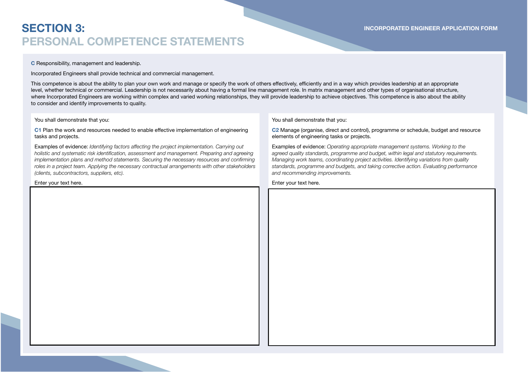#### **C** Responsibility, management and leadership.

Incorporated Engineers shall provide technical and commercial management.

This competence is about the ability to plan your own work and manage or specify the work of others effectively, efficiently and in a way which provides leadership at an appropriate level, whether technical or commercial. Leadership is not necessarily about having a formal line management role. In matrix management and other types of organisational structure,<br>where Incorporated Engineers are working w to consider and identify improvements to quality.

#### You shall demonstrate that you:

C1 Plan the work and resources needed to enable effective implementation of engineering tasks and projects.

Examples of evidence: *Identifying factors affecting the project implementation. Carrying out* holistic and systematic risk identification, assessment and management. Preparing and agreeing<br>implementation plans and method statements. Securing the necessary resources and confirming *roles in a project team. Applying the necessary contractual arrangements with other stakeholders (clients, subcontractors, suppliers, etc).*

#### Enter your text here.

You shall demonstrate that you:

**C2** Manage (organise, direct and control), programme or schedule, budget and resource elements of engineering tasks or projects.

Examples of evidence: *Operating appropriate management systems. Working to the agreed quality standards, programme and budget, within legal and statutory requirements. Managing work teams, coordinating project activities. Identifying variations from quality standards, programme and budgets, and taking corrective action. Evaluating performance and recommending improvements.* 

Enter your text here.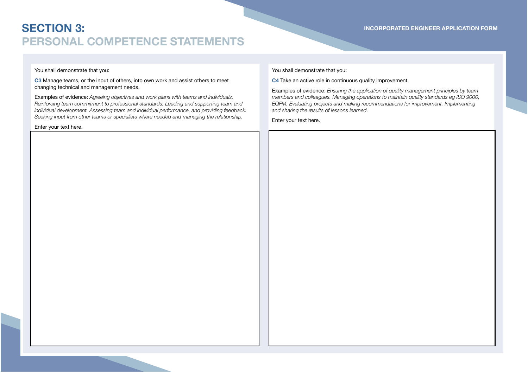### You shall demonstrate that you:

#### **C3** Manage teams, or the input of others, into own work and assist others to meet changing technical and management needs.

Examples of evidence: *Agreeing objectives and work plans with teams and individuals. Reinforcing team commitment to professional standards. Leading and supporting team and individual development. Assessing team and individual performance, and providing feedback. Seeking input from other teams or specialists where needed and managing the relationship.*

Enter your text here.

**INCORPORATED ENGINEER APPLICATION FORM**

### You shall demonstrate that you:

**C4** Take an active role in continuous quality improvement.

Examples of evidence: *Ensuring the application of quality management principles by team*  members and colleagues. Managing operations to maintain quality standards eg ISO 9000,<br>EQFM. Evaluating projects and making recommendations for improvement. Implementing<br>and sharing the results of lessons learned.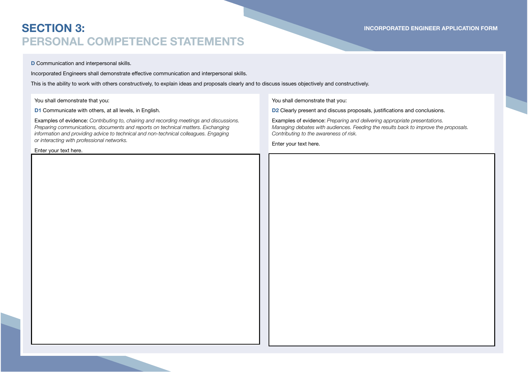#### **D** Communication and interpersonal skills.

Incorporated Engineers shall demonstrate effective communication and interpersonal skills.

This is the ability to work with others constructively, to explain ideas and proposals clearly and to discuss issues objectively and constructively.

You shall demonstrate that you:

**D1** Communicate with others, at all levels, in English.

**Examples of evidence:** Contributing to, chairing and recording meetings and discussions.<br>Preparing communications, documents and reports on technical matters. Exchanging<br>information and providing advice to technical and n

Enter your text here.

**INCORPORATED ENGINEER APPLICATION FORM**

#### You shall demonstrate that you:

D2 Clearly present and discuss proposals, justifications and conclusions.

Examples of evidence: *Preparing and delivering appropriate presentations. Managing debates with audiences. Feeding the results back to improve the proposals. Contributing to the awareness of risk.*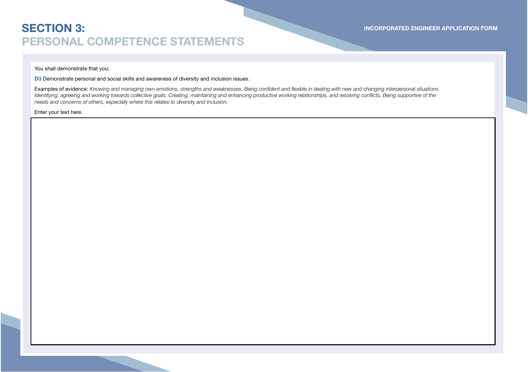**INCORPORATED ENGINEER APPLICATION FORM**

### You shall demonstrate that you:

**D3** Demonstrate personal and social skills and awareness of diversity and inclusion issues.

**Examples of evidence:** Knowing and managing own emotions, strengths and weaknesses. Being confident and flexible in dealing with new and changing interpersonal situations.<br>Identifying, agreeing and working towards collect *needs and concerns of others, especially where this relates to diversity and inclusion.*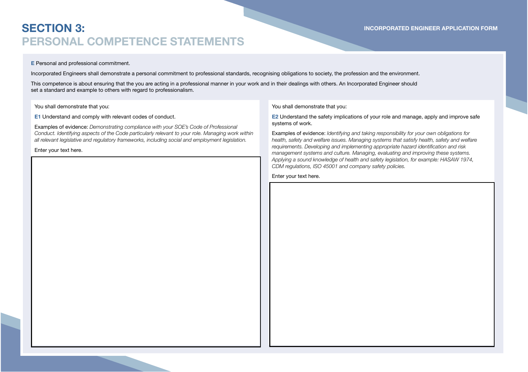### **E** Personal and professional commitment.

Incorporated Engineers shall demonstrate a personal commitment to professional standards, recognising obligations to society, the profession and the environment. This competence is about ensuring that the you are acting in a professional manner in your work and in their dealings with others. An Incorporated Engineer should set a standard and example to others with regard to professionalism.

#### You shall demonstrate that you:

**E1** Understand and comply with relevant codes of conduct.

Examples of evidence: *Demonstrating compliance with your SOE's Code of Professional Conduct. Identifying aspects of the Code particularly relevant to your role. Managing work within all relevant legislative and regulatory frameworks, including social and employment legislation.*

Enter your text here.

#### You shall demonstrate that you:

**E2** Understand the safety implications of your role and manage, apply and improve safe systems of work.

**INCORPORATED ENGINEER APPLICATION FORM**

Examples of evidence: *Identifying and taking responsibility for your own obligations for health, safety and welfare issues. Managing systems that satisfy health, safety and welfare*   $r$ equirements. Developing and implementing appropriate hazard identification and risk management systems and culture. Managing, evaluating and improving these systems.<br>Applying a sound knowledge of health and safety legislation, for example: HASAW 1974,<br>CDM regulations, ISO 45001 and company safety policies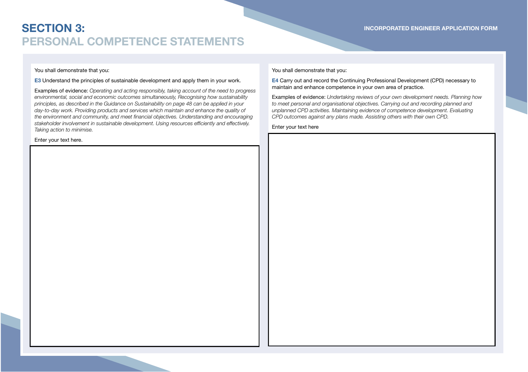### You shall demonstrate that you:

### **E3** Understand the principles of sustainable development and apply them in your work.

Examples of evidence: *Operating and acting responsibly, taking account of the need to progress environmental, social and economic outcomes simultaneously, Recognising how sustainability*  principles, as described in the Guidance on Sustainability on page 48 can be applied in your<br>day-to-day work. Providing products and services which maintain and enhance the quality of the environment and community, and meet financial objectives. Understanding and encouraging stakeholder involvement in sustainable development. Using resources efficiently and effectively. *Taking action to minimise.*

Enter your text here.

**INCORPORATED ENGINEER APPLICATION FORM**

### You shall demonstrate that you:

**E4** Carry out and record the Continuing Professional Development (CPD) necessary to maintain and enhance competence in your own area of practice.

Examples of evidence: *Undertaking reviews of your own development needs. Planning how to meet personal and organisational objectives. Carrying out and recording planned and unplanned CPD activities. Maintaining evidence of competence development. Evaluating CPD outcomes against any plans made. Assisting others with their own CPD.*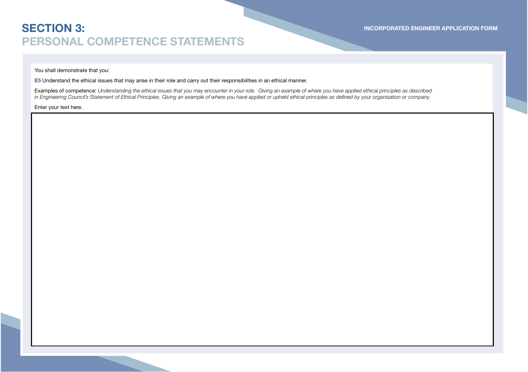### You shall demonstrate that you:

**E5** Understand the ethical issues that may arise in their role and carry out their responsibilities in an ethical manner.

Examples of competence: *Understanding the ethical issues that you may encounter in your role. Giving an example of where you have applied ethical principles as described*  in Engineering Council's Statement of Ethical Principles. Giving an example of where you have applied or upheld ethical principles as defined by your organisation or company.

Enter your text here.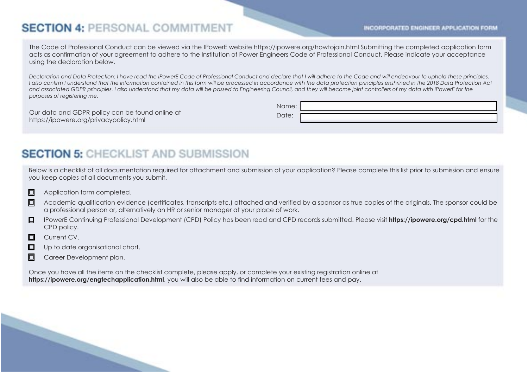### **SECTION 4: PERSONAL COMMITMENT**

INCORPORATED ENGINEER APPLICATION FORM

The Code of Professional Conduct can be viewed via the IPowerE website https://ipowere.org/howtojoin.html Submitting the completed application form acts as confirmation of your agreement to adhere to the Institution of Power Engineers Code of Professional Conduct. Please indicate your acceptance using the declaration below.

*Declaration and Data Protection: I have read the IPowerE Code of Professional Conduct and declare that I will adhere to the Code and will endeavour to uphold these principles.* I also confirm I understand that the information contained in this form will be processed in accordance with the data protection principles enshrined in the 2018 Data Protection Act<br>and associated GDPR principles. I also u *purposes of registering me.*

Our data and GDPR policy can be found online at https://ipowere.org/privacypolicy.html

Name: Date:

### **SECTION 5: CHECKLIST AND SUBMISSION**

Below is a checklist of all documentation required for attachment and submission of your application? Please complete this list prior to submission and ensure you keep copies of all documents you submit.

- $\Box$  Application form completed.
- $\Box$  Academic qualification evidence (certificates, transcripts etc.) attached and verified by a sponsor as true copies of the originals. The sponsor could be a professional person or, alternatively an HR or senior manager at your place of work.
- o IPowerE Continuing Professional Development (CPD) Policy has been read and CPD records submitted. Please visit **https://ipowere.org/cpd.html** for the CPD policy.
- $\Box$  Current CV.
- $\Box$  Up to date organisational chart.
- **D** Career Development plan.

Once you have all the items on the checklist complete, please apply, or complete your existing registration online at **https://ipowere.org/engtechapplication.html**, you will also be able to find information on current fees and pay.